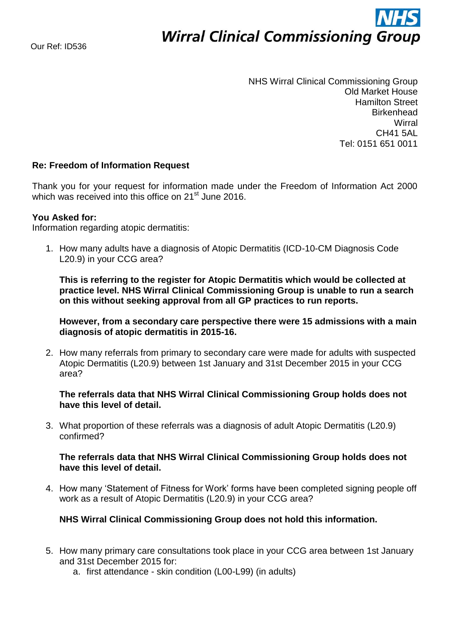# **Wirral Clinical Commissioning Group**

NHS Wirral Clinical Commissioning Group Old Market House Hamilton Street **Birkenhead Wirral** CH41 5AL Tel: 0151 651 0011

# **Re: Freedom of Information Request**

Thank you for your request for information made under the Freedom of Information Act 2000 which was received into this office on 21<sup>st</sup> June 2016.

### **You Asked for:**

Information regarding atopic dermatitis:

1. How many adults have a diagnosis of Atopic Dermatitis (ICD-10-CM Diagnosis Code L20.9) in your CCG area?

**This is referring to the register for Atopic Dermatitis which would be collected at practice level. NHS Wirral Clinical Commissioning Group is unable to run a search on this without seeking approval from all GP practices to run reports.**

**However, from a secondary care perspective there were 15 admissions with a main diagnosis of atopic dermatitis in 2015-16.** 

2. How many referrals from primary to secondary care were made for adults with suspected Atopic Dermatitis (L20.9) between 1st January and 31st December 2015 in your CCG area?

**The referrals data that NHS Wirral Clinical Commissioning Group holds does not have this level of detail.** 

3. What proportion of these referrals was a diagnosis of adult Atopic Dermatitis (L20.9) confirmed?

## **The referrals data that NHS Wirral Clinical Commissioning Group holds does not have this level of detail.**

4. How many 'Statement of Fitness for Work' forms have been completed signing people off work as a result of Atopic Dermatitis (L20.9) in your CCG area?

## **NHS Wirral Clinical Commissioning Group does not hold this information.**

- 5. How many primary care consultations took place in your CCG area between 1st January and 31st December 2015 for:
	- a. first attendance skin condition (L00-L99) (in adults)